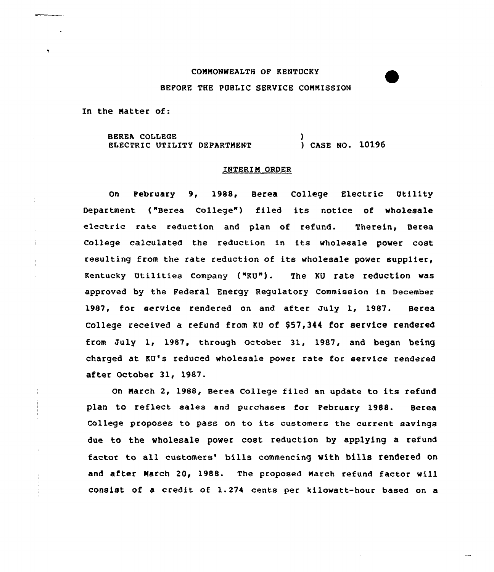## COMMONWEALTH OF KENTUCKY

## BEFORE THE PUBLIC SERVICE COMMISSION

In the Matter of:

÷.

BEREA COLLEGE ELECTRIC UTILITY DEPARTMENT ) ) CASE NO. 10196

## INTERIM ORDER

On February 9, 1988, Berea College Electric Utility Department {"Berea Co1lege") filed its notice of wholesale electric rate reduction and plan of refund. Therein, Berea College calculated the reduction in its wholesale power cost resulting from the rate reduction of its wholesale power supplier, Kentucky Utilities company ("KU"). The KU rate reduction was approved by the Federal Energy Regulatory Commission in December 1987, for service rendered on and after July 1, 1987. Berea College received a refund from KU of \$57,344 for service rendered from July 1, 1987, through october 31, 1987, and began being charged at KU's reduced wholesale power rate for service rendered after October 31, 1987.

On March 2, 1988, Berea College filed an update to its refund plan to reflect sales and purchases for February 1988. Berea College proposes to pass on to its customers the current savings due to the wholesale power cost reduction by applying a refund factor to all customers' bills commencing with bills rendered on and after March 20, 1988. The proposed March refund factor will consist of a credit of 1.274 cents per kilowatt-hour based on a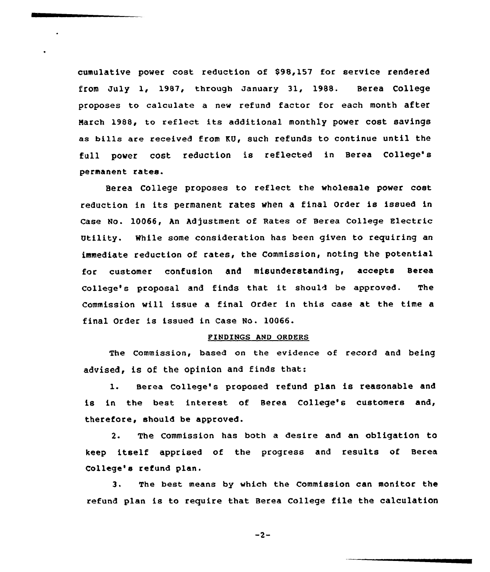cumulative power cost reduction of \$98,157 far service rendered from July 1, 1987, through January 31, 1988. Berea College proposes to calculate a new refund factor for each month after March 1988, to reflect its additional monthly power cost savings as bills are received from KU, such refunds to continue until the full power cost reduction is reflected in Berea College' permanent rates.

Berea College proposes to reflect the wholesale power cast reduction in its permanent rates when <sup>a</sup> final Order is issued in Case No. 10066, An Adjustment of Rates of Berea College Electric Utility. While some consideration has been given to requiring an immediate reduction of rates, the Commission, noting the potential for custamer confusion and misunderstanding, accepts Berea college's propasal and finds that it should be approved. The Commission vill issue a final Order in this case at the time a final Order is issued in Case No. 10066.

## FINDINGS AND ORDERS

The Commission, based on the evidence af record and being advised, is of the opinion and finds that:

1. Berea College's proposed refund plan is reasonable and is in the best interest of Berea College's customers and, therefore, should be approved.

2. The Commission has both a desire and an obligation to keep itself apprised of the progress and results of Berea College's refund plan.

3. The best means by which the Commission can monitor the refund plan is to require that Berea College file the calculation

 $-2-$